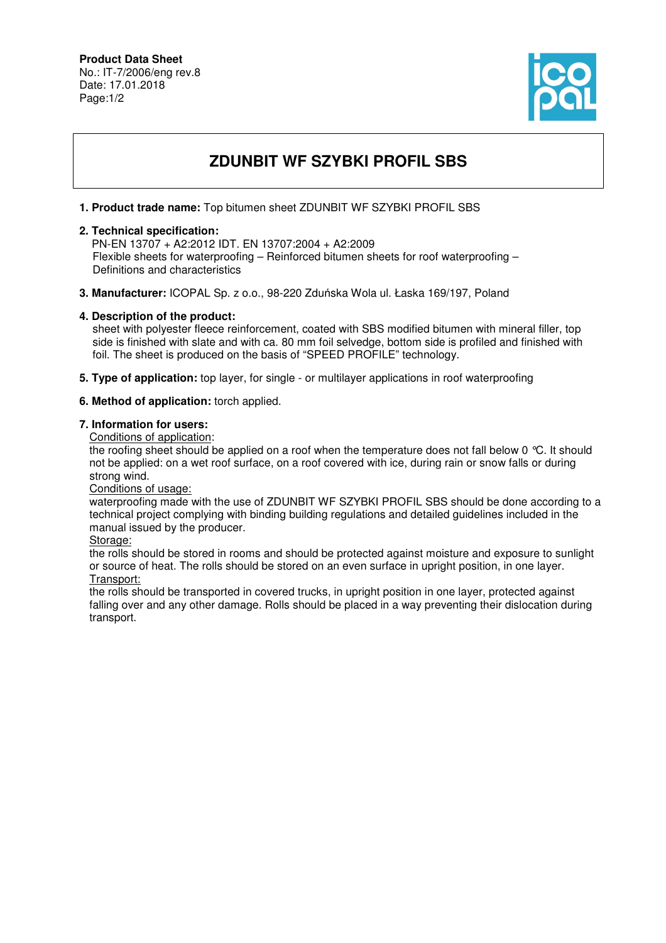### **Product Data Sheet** No.: IT-7/2006/eng rev.8 Date: 17.01.2018 Page:1/2



# **ZDUNBIT WF SZYBKI PROFIL SBS**

## **1. Product trade name:** Top bitumen sheet ZDUNBIT WF SZYBKI PROFIL SBS

## **2. Technical specification:**

 PN-EN 13707 + A2:2012 IDT. EN 13707:2004 + A2:2009 Flexible sheets for waterproofing – Reinforced bitumen sheets for roof waterproofing – Definitions and characteristics

**3. Manufacturer:** ICOPAL Sp. z o.o., 98-220 Zduńska Wola ul. Łaska 169/197, Poland

#### **4. Description of the product:**

 sheet with polyester fleece reinforcement, coated with SBS modified bitumen with mineral filler, top side is finished with slate and with ca. 80 mm foil selvedge, bottom side is profiled and finished with foil. The sheet is produced on the basis of "SPEED PROFILE" technology.

**5. Type of application:** top layer, for single - or multilayer applications in roof waterproofing

#### **6. Method of application:** torch applied.

#### **7. Information for users:**

Conditions of application:

the roofing sheet should be applied on a roof when the temperature does not fall below 0 °C. It should not be applied: on a wet roof surface, on a roof covered with ice, during rain or snow falls or during strong wind.

Conditions of usage:

waterproofing made with the use of ZDUNBIT WF SZYBKI PROFIL SBS should be done according to a technical project complying with binding building regulations and detailed guidelines included in the manual issued by the producer.

Storage:

the rolls should be stored in rooms and should be protected against moisture and exposure to sunlight or source of heat. The rolls should be stored on an even surface in upright position, in one layer. Transport:

the rolls should be transported in covered trucks, in upright position in one layer, protected against falling over and any other damage. Rolls should be placed in a way preventing their dislocation during transport.